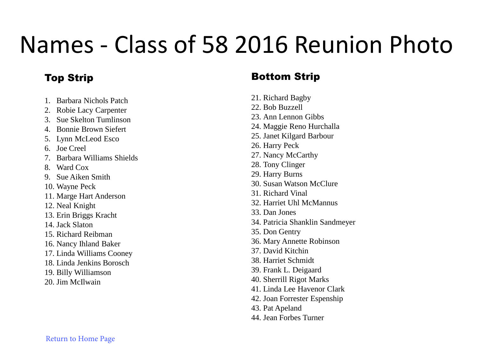## Names - Class of 58 2016 Reunion Photo

## Top Strip

- 1. Barbara Nichols Patch
- 2. Robie Lacy Carpenter
- 3. Sue Skelton Tumlinson
- 4. Bonnie Brown Siefert
- 5. Lynn McLeod Esco
- 6. Joe Creel
- 7. Barbara Williams Shields
- 8. Ward Cox
- 9. Sue Aiken Smith
- 10. Wayne Peck
- 11. Marge Hart Anderson
- 12. Neal Knight
- 13. Erin Briggs Kracht
- 14. Jack Slaton
- 15. Richard Reibman
- 16. Nancy Ihland Baker
- 17. Linda Williams Cooney
- 18. Linda Jenkins Borosch
- 19. Billy Williamson
- 20. Jim McIlwain

## Bottom Strip

- 21. Richard Bagby
- 22. Bob Buzzell
- 23. Ann Lennon Gibbs
- 24. Maggie Reno Hurchalla
- 25. Janet Kilgard Barbour
- 26. Harry Peck
- 27. Nancy McCarthy
- 28. Tony Clinger
- 29. Harry Burns
- 30. Susan Watson McClure
- 31. Richard Vinal
- 32. Harriet Uhl McMannus
- 33. Dan Jones
- 34. Patricia Shanklin Sandmeyer
- 35. Don Gentry
- 36. Mary Annette Robinson
- 37. David Kitchin
- 38. Harriet Schmidt
- 39. Frank L. Deigaard
- 40. Sherrill Rigot Marks
- 41. Linda Lee Havenor Clark
- 42. Joan Forrester Espenship
- 43. Pat Apeland
- 44. Jean Forbes Turner